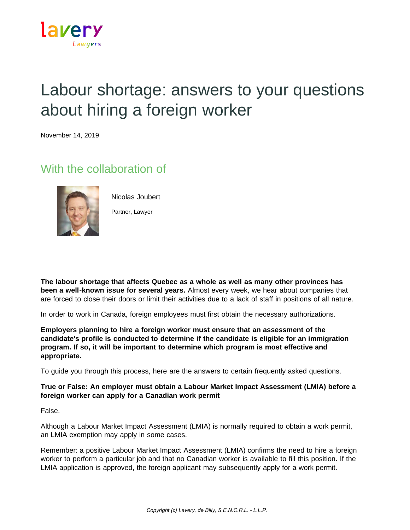

# Labour shortage: answers to your questions about hiring a foreign worker

November 14, 2019

# With the collaboration of



Nicolas Joubert Partner, Lawyer

**The labour shortage that affects Quebec as a whole as well as many other provinces has been a well-known issue for several years.** Almost every week, we hear about companies that are forced to close their doors or limit their activities due to a lack of staff in positions of all nature.

In order to work in Canada, foreign employees must first obtain the necessary authorizations.

**Employers planning to hire a foreign worker must ensure that an assessment of the candidate's profile is conducted to determine if the candidate is eligible for an immigration program. If so, it will be important to determine which program is most effective and appropriate.**

To guide you through this process, here are the answers to certain frequently asked questions.

## **True or False: An employer must obtain a Labour Market Impact Assessment (LMIA) before a foreign worker can apply for a Canadian work permit**

False.

Although a Labour Market Impact Assessment (LMIA) is normally required to obtain a work permit, an LMIA exemption may apply in some cases.

Remember: a positive Labour Market Impact Assessment (LMIA) confirms the need to hire a foreign worker to perform a particular job and that no Canadian worker is available to fill this position. If the LMIA application is approved, the foreign applicant may subsequently apply for a work permit.